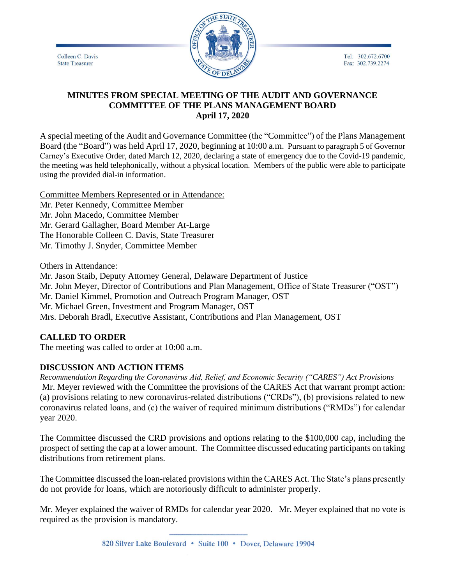Colleen C. Davis **State Treasurer** 



Tel: 302.672.6700 Fax: 302.739.2274

## **MINUTES FROM SPECIAL MEETING OF THE AUDIT AND GOVERNANCE COMMITTEE OF THE PLANS MANAGEMENT BOARD April 17, 2020**

A special meeting of the Audit and Governance Committee (the "Committee") of the Plans Management Board (the "Board") was held April 17, 2020, beginning at 10:00 a.m. Pursuant to paragraph 5 of Governor Carney's Executive Order, dated March 12, 2020, declaring a state of emergency due to the Covid-19 pandemic, the meeting was held telephonically, without a physical location. Members of the public were able to participate using the provided dial-in information.

Committee Members Represented or in Attendance: Mr. Peter Kennedy, Committee Member Mr. John Macedo, Committee Member Mr. Gerard Gallagher, Board Member At-Large The Honorable Colleen C. Davis, State Treasurer

Mr. Timothy J. Snyder, Committee Member

Others in Attendance:

Mr. Jason Staib, Deputy Attorney General, Delaware Department of Justice Mr. John Meyer, Director of Contributions and Plan Management, Office of State Treasurer ("OST") Mr. Daniel Kimmel, Promotion and Outreach Program Manager, OST Mr. Michael Green, Investment and Program Manager, OST Mrs. Deborah Bradl, Executive Assistant, Contributions and Plan Management, OST

## **CALLED TO ORDER**

The meeting was called to order at 10:00 a.m.

## **DISCUSSION AND ACTION ITEMS**

*Recommendation Regarding the Coronavirus Aid, Relief, and Economic Security ("CARES") Act Provisions* Mr. Meyer reviewed with the Committee the provisions of the CARES Act that warrant prompt action: (a) provisions relating to new coronavirus-related distributions ("CRDs"), (b) provisions related to new coronavirus related loans, and (c) the waiver of required minimum distributions ("RMDs") for calendar year 2020.

The Committee discussed the CRD provisions and options relating to the \$100,000 cap, including the prospect of setting the cap at a lower amount. The Committee discussed educating participants on taking distributions from retirement plans.

The Committee discussed the loan-related provisions within the CARES Act. The State's plans presently do not provide for loans, which are notoriously difficult to administer properly.

Mr. Meyer explained the waiver of RMDs for calendar year 2020. Mr. Meyer explained that no vote is required as the provision is mandatory.